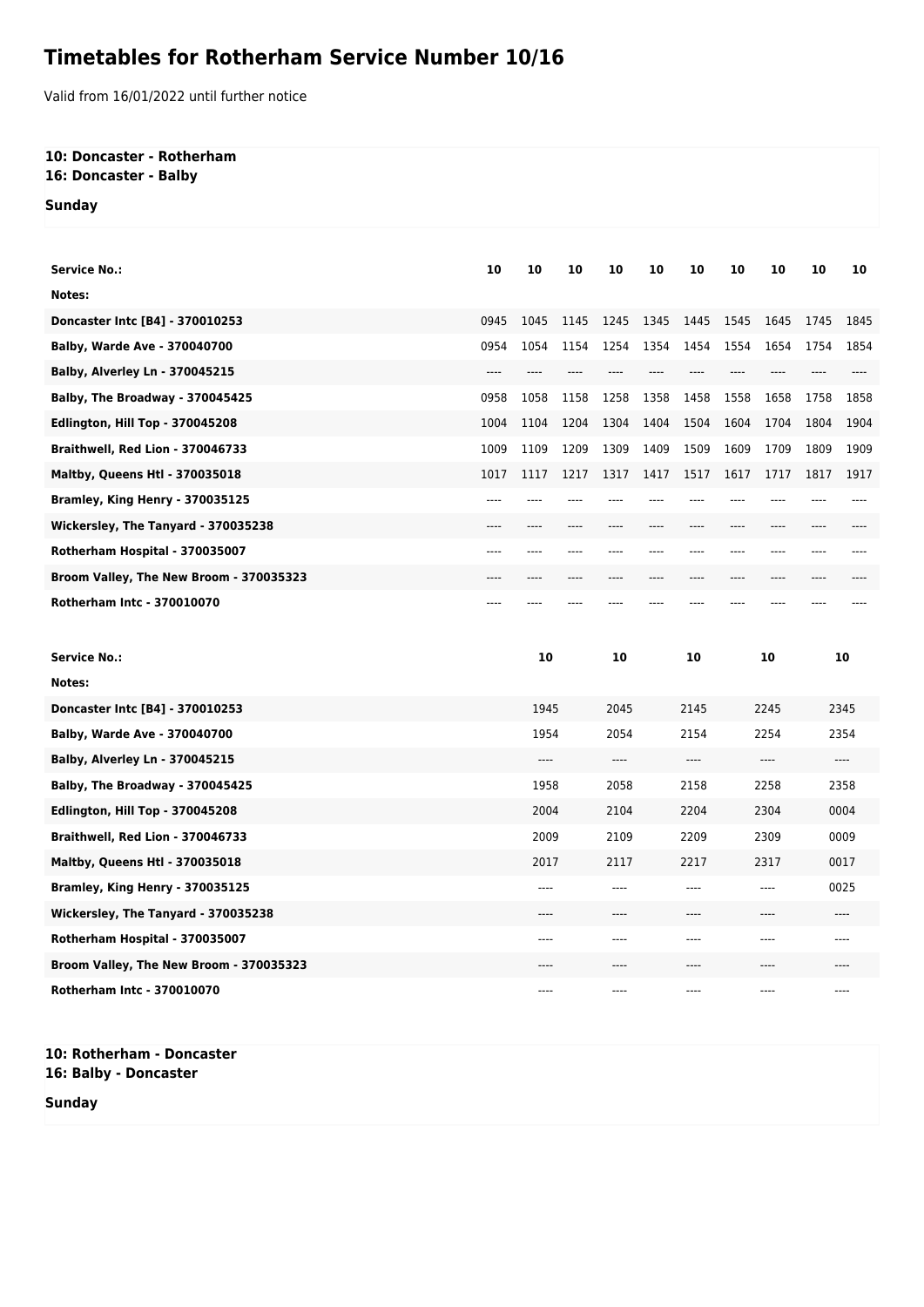## **Timetables for Rotherham Service Number 10/16**

Valid from 16/01/2022 until further notice

## **10: Doncaster - Rotherham 16: Doncaster - Balby**

**Sunday**

| <b>Service No.:</b>                     | 10    | 10    | 10    | 10    | 10   | 10           | 10    | 10            | 10    | 10   |
|-----------------------------------------|-------|-------|-------|-------|------|--------------|-------|---------------|-------|------|
| Notes:                                  |       |       |       |       |      |              |       |               |       |      |
| Doncaster Intc [B4] - 370010253         | 0945  | 1045  | 1145  | 1245  | 1345 | 1445         | 1545  | 1645          | 1745  | 1845 |
| <b>Balby, Warde Ave - 370040700</b>     | 0954  | 1054  | 1154  | 1254  | 1354 | 1454         | 1554  | 1654          | 1754  | 1854 |
| <b>Balby, Alverley Ln - 370045215</b>   | ----  | $---$ |       |       |      | $---$        | $---$ | ----          |       |      |
| Balby, The Broadway - 370045425         | 0958  | 1058  | 1158  | 1258  | 1358 | 1458         | 1558  | 1658          | 1758  | 1858 |
| Edlington, Hill Top - 370045208         | 1004  | 1104  | 1204  | 1304  | 1404 | 1504         | 1604  | 1704          | 1804  | 1904 |
| Braithwell, Red Lion - 370046733        | 1009  | 1109  | 1209  | 1309  | 1409 | 1509         | 1609  | 1709          | 1809  | 1909 |
| Maltby, Queens Htl - 370035018          | 1017  | 1117  | 1217  | 1317  | 1417 | 1517         | 1617  | 1717          | 1817  | 1917 |
| Bramley, King Henry - 370035125         | $---$ | ----  | ----  |       |      | ----         | ----  | ----          | ----  |      |
| Wickersley, The Tanyard - 370035238     | ----  |       |       | ----  |      |              | ----  | ----          |       |      |
| Rotherham Hospital - 370035007          | ----  | ----  | ----  |       |      | ----         | ----  | ----          | ----  |      |
| Broom Valley, The New Broom - 370035323 | ----  | ----  | $---$ | ----  | ---- | $---$        | ----  | ----          | ----  |      |
| <b>Rotherham Intc - 370010070</b>       | ----  |       |       |       |      |              |       |               |       |      |
|                                         |       |       |       |       |      |              |       |               |       |      |
| <b>Service No.:</b>                     |       | 10    |       | 10    |      | 10           |       | 10            |       | 10   |
| Notes:                                  |       |       |       |       |      |              |       |               |       |      |
| Doncaster Intc [B4] - 370010253         |       | 1945  |       | 2045  |      | 2145         |       | 2245<br>2345  |       |      |
| Balby, Warde Ave - 370040700            |       | 1954  |       | 2054  |      | 2154         |       | 2254<br>2354  |       |      |
| <b>Balby, Alverley Ln - 370045215</b>   |       | $---$ |       | $---$ |      | ----         |       | $---$         | $---$ |      |
| Balby, The Broadway - 370045425         |       | 1958  |       | 2058  |      | 2158<br>2258 |       |               | 2358  |      |
| Edlington, Hill Top - 370045208         |       | 2004  |       | 2104  |      | 2204         | 2304  |               | 0004  |      |
| Braithwell, Red Lion - 370046733        |       | 2009  |       | 2109  |      | 2209         | 2309  |               | 0009  |      |
| <b>Maltby, Queens Htl - 370035018</b>   |       | 2017  |       | 2117  |      | 2217         |       | 2317<br>0017  |       |      |
| Bramley, King Henry - 370035125         |       | ----  |       | $---$ |      | ----         |       | 0025<br>$---$ |       |      |
| Wickersley, The Tanyard - 370035238     |       |       |       | ----  |      | ----         |       | ----<br>$---$ |       |      |
| Rotherham Hospital - 370035007          |       |       |       |       |      | ----         |       |               |       |      |

**Broom Valley, The New Broom - 370035323** ---- ---- ---- ---- ---- **Rotherham Intc - 370010070** ---- ---- ---- ---- ----

**10: Rotherham - Doncaster 16: Balby - Doncaster**

**Sunday**